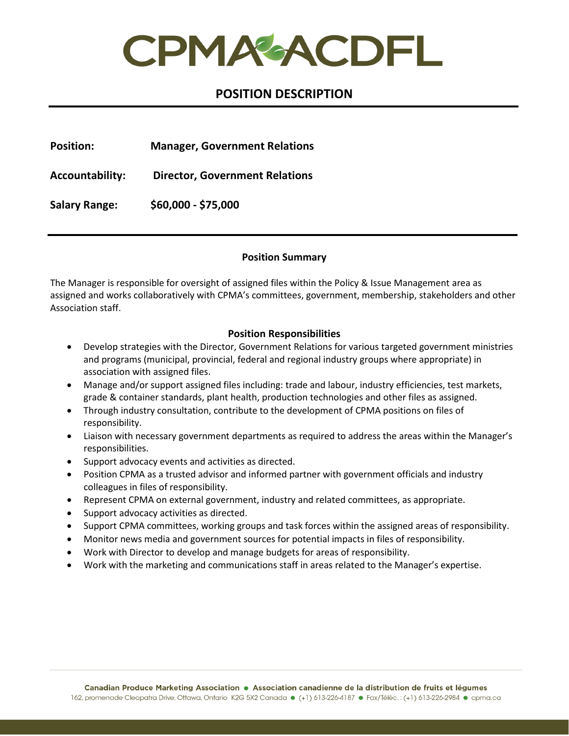CPMAGACDFL

# **POSITION DESCRIPTION**

**Position: Manager, Government Relations**

**Accountability: Director, Government Relations**

**Salary Range: \$60,000 - \$75,000**

### **Position Summary**

The Manager is responsible for oversight of assigned files within the Policy & Issue Management area as assigned and works collaboratively with CPMA's committees, government, membership, stakeholders and other Association staff.

# **Position Responsibilities**

- Develop strategies with the Director, Government Relations for various targeted government ministries and programs (municipal, provincial, federal and regional industry groups where appropriate) in association with assigned files.
- Manage and/or support assigned files including: trade and labour, industry efficiencies, test markets, grade & container standards, plant health, production technologies and other files as assigned.
- Through industry consultation, contribute to the development of CPMA positions on files of responsibility.
- Liaison with necessary government departments as required to address the areas within the Manager's responsibilities.
- Support advocacy events and activities as directed.
- Position CPMA as a trusted advisor and informed partner with government officials and industry colleagues in files of responsibility.
- Represent CPMA on external government, industry and related committees, as appropriate.
- Support advocacy activities as directed.
- Support CPMA committees, working groups and task forces within the assigned areas of responsibility.
- Monitor news media and government sources for potential impacts in files of responsibility.
- Work with Director to develop and manage budgets for areas of responsibility.
- Work with the marketing and communications staff in areas related to the Manager's expertise.